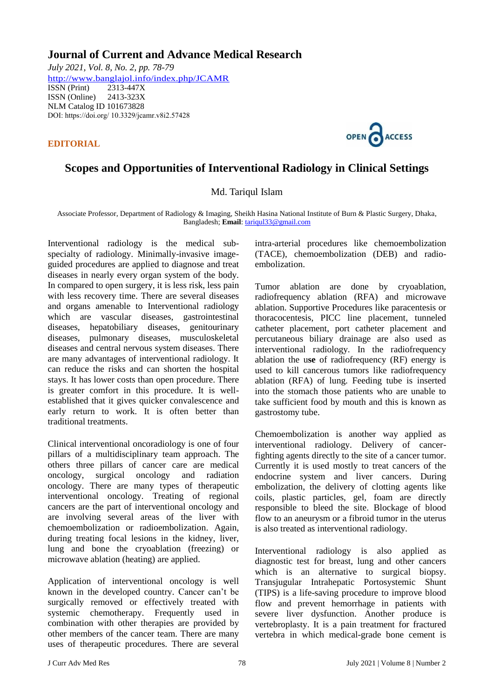## **Journal of Current and Advance Medical Research**

*July 2021, Vol. 8, No. 2, pp. 78-79* <http://www.banglajol.info/index.php/JCAMR><br>ISSN (Print) 2313-447X ISSN (Print) ISSN (Online) 2413-323X [NLM Catalog I](https://www.ncbi.nlm.nih.gov/nlmcatalog/101673828)D 101673828 DOI: https://doi.org/ 10.3329/jcamr.v8i2.57428

**EDITORIAL** 



## **Scopes and Opportunities of Interventional Radiology in Clinical Settings**

## Md. Tariqul Islam

Associate Professor, Department of Radiology & Imaging, Sheikh Hasina National Institute of Burn & Plastic Surgery, Dhaka, Bangladesh; **Email**[: tariqul33@gmail.com](mailto:tariqul33@gmail.com)

Interventional radiology is the medical subspecialty of radiology. Minimally-invasive imageguided procedures are applied to diagnose and treat diseases in nearly every organ system of the body. In compared to open surgery, it is less risk, less pain with less recovery time. There are several diseases and organs amenable to Interventional radiology which are vascular diseases, gastrointestinal diseases, hepatobiliary diseases, genitourinary diseases, pulmonary diseases, musculoskeletal diseases and central nervous system diseases. There are many advantages of interventional radiology. It can reduce the risks and can shorten the hospital stays. It has lower costs than open procedure. There is greater comfort in this procedure. It is wellestablished that it gives quicker convalescence and early return to work. It is often better than traditional treatments.

Clinical interventional oncoradiology is one of four pillars of a multidisciplinary team approach. The others three pillars of cancer care are medical oncology, surgical oncology and radiation oncology. There are many types of therapeutic interventional oncology. Treating of regional cancers are the part of interventional oncology and are involving several areas of the liver with chemoembolization or radioembolization. Again, during treating focal lesions in the kidney, liver, lung and bone the cryoablation (freezing) or microwave ablation (heating) are applied.

Application of interventional oncology is well known in the developed country. Cancer can't be surgically removed or effectively treated with systemic chemotherapy. Frequently used in combination with other therapies are provided by other members of the cancer team. There are many uses of therapeutic procedures. There are several

intra-arterial procedures like chemoembolization (TACE), chemoembolization (DEB) and radioembolization.

Tumor ablation are done by cryoablation, radiofrequency ablation (RFA) and microwave ablation. Supportive Procedures like paracentesis or thoracocentesis, PICC line placement, tunneled catheter placement, port catheter placement and percutaneous biliary drainage are also used as interventional radiology. In the radiofrequency ablation the u**se** of radiofrequency (RF) energy is used to kill cancerous tumors like radiofrequency ablation (RFA) of lung. Feeding tube is inserted into the stomach those patients who are unable to take sufficient food by mouth and this is known as gastrostomy tube.

Chemoembolization is another way applied as interventional radiology. Delivery of cancerfighting agents directly to the site of a cancer tumor. Currently it is used mostly to treat cancers of the endocrine system and liver cancers. During embolization, the delivery of clotting agents like coils, plastic particles, gel, foam are directly responsible to bleed the site. Blockage of blood flow to an aneurysm or a fibroid tumor in the uterus is also treated as interventional radiology.

Interventional radiology is also applied as diagnostic test for breast, lung and other cancers which is an alternative to surgical biopsy. Transjugular Intrahepatic Portosystemic Shunt (TIPS) is a life-saving procedure to improve blood flow and prevent hemorrhage in patients with severe liver dysfunction. Another produce is vertebroplasty. It is a pain treatment for fractured vertebra in which medical-grade bone cement is